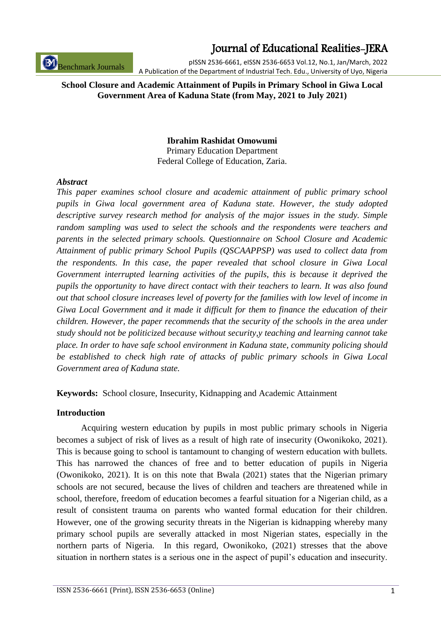Benchmark Journals

### Journal of Educational Realities-JERA

pISSN 2536-6661, eISSN 2536-6653 Vol.12, No.1, Jan/March, 2022 A Publication of the Department of Industrial Tech. Edu., University of Uyo, Nigeria

#### **School Closure and Academic Attainment of Pupils in Primary School in Giwa Local Government Area of Kaduna State (from May, 2021 to July 2021)**

#### **Ibrahim Rashidat Omowumi** Primary Education Department Federal College of Education, Zaria.

#### *Abstract*

*This paper examines school closure and academic attainment of public primary school pupils in Giwa local government area of Kaduna state. However, the study adopted descriptive survey research method for analysis of the major issues in the study. Simple random sampling was used to select the schools and the respondents were teachers and parents in the selected primary schools. Questionnaire on School Closure and Academic Attainment of public primary School Pupils (QSCAAPPSP) was used to collect data from the respondents. In this case, the paper revealed that school closure in Giwa Local Government interrupted learning activities of the pupils, this is because it deprived the pupils the opportunity to have direct contact with their teachers to learn. It was also found out that school closure increases level of poverty for the families with low level of income in Giwa Local Government and it made it difficult for them to finance the education of their children. However, the paper recommends that the security of the schools in the area under study should not be politicized because without security,y teaching and learning cannot take place. In order to have safe school environment in Kaduna state, community policing should be established to check high rate of attacks of public primary schools in Giwa Local Government area of Kaduna state.*

**Keywords:** School closure, Insecurity, Kidnapping and Academic Attainment

#### **Introduction**

 Acquiring western education by pupils in most public primary schools in Nigeria becomes a subject of risk of lives as a result of high rate of insecurity (Owonikoko, 2021). This is because going to school is tantamount to changing of western education with bullets. This has narrowed the chances of free and to better education of pupils in Nigeria (Owonikoko, 2021). It is on this note that Bwala (2021) states that the Nigerian primary schools are not secured, because the lives of children and teachers are threatened while in school, therefore, freedom of education becomes a fearful situation for a Nigerian child, as a result of consistent trauma on parents who wanted formal education for their children. However, one of the growing security threats in the Nigerian is kidnapping whereby many primary school pupils are severally attacked in most Nigerian states, especially in the northern parts of Nigeria. In this regard, Owonikoko, (2021) stresses that the above situation in northern states is a serious one in the aspect of pupil's education and insecurity.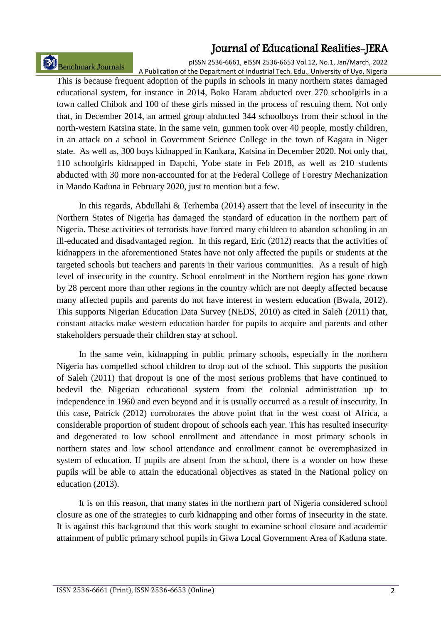Benchmark Journals

pISSN 2536-6661, eISSN 2536-6653 Vol.12, No.1, Jan/March, 2022 A Publication of the Department of Industrial Tech. Edu., University of Uyo, Nigeria

This is because frequent adoption of the pupils in schools in many northern states damaged educational system, for instance in 2014, Boko Haram abducted over 270 schoolgirls in a town called Chibok and 100 of these girls missed in the process of rescuing them. Not only that, in December 2014, an armed group abducted 344 schoolboys from their school in the north-western Katsina state. In the same vein, gunmen took over 40 people, mostly children, in an attack on a school in Government Science College in the town of Kagara in Niger state. As well as, 300 boys kidnapped in Kankara, Katsina in December 2020. Not only that, 110 schoolgirls kidnapped in Dapchi, Yobe state in Feb 2018, as well as 210 students abducted with 30 more non-accounted for at the Federal College of Forestry Mechanization in Mando Kaduna in February 2020, just to mention but a few.

 In this regards, Abdullahi & Terhemba (2014) assert that the level of insecurity in the Northern States of Nigeria has damaged the standard of education in the northern part of Nigeria. These activities of terrorists have forced many children to abandon schooling in an ill-educated and disadvantaged region. In this regard, Eric (2012) reacts that the activities of kidnappers in the aforementioned States have not only affected the pupils or students at the targeted schools but teachers and parents in their various communities. As a result of high level of insecurity in the country. School enrolment in the Northern region has gone down by 28 percent more than other regions in the country which are not deeply affected because many affected pupils and parents do not have interest in western education (Bwala, 2012). This supports Nigerian Education Data Survey (NEDS, 2010) as cited in Saleh (2011) that, constant attacks make western education harder for pupils to acquire and parents and other stakeholders persuade their children stay at school.

 In the same vein, kidnapping in public primary schools, especially in the northern Nigeria has compelled school children to drop out of the school. This supports the position of Saleh (2011) that dropout is one of the most serious problems that have continued to bedevil the Nigerian educational system from the colonial administration up to independence in 1960 and even beyond and it is usually occurred as a result of insecurity. In this case, Patrick (2012) corroborates the above point that in the west coast of Africa, a considerable proportion of student dropout of schools each year. This has resulted insecurity and degenerated to low school enrollment and attendance in most primary schools in northern states and low school attendance and enrollment cannot be overemphasized in system of education. If pupils are absent from the school, there is a wonder on how these pupils will be able to attain the educational objectives as stated in the National policy on education (2013).

 It is on this reason, that many states in the northern part of Nigeria considered school closure as one of the strategies to curb kidnapping and other forms of insecurity in the state. It is against this background that this work sought to examine school closure and academic attainment of public primary school pupils in Giwa Local Government Area of Kaduna state.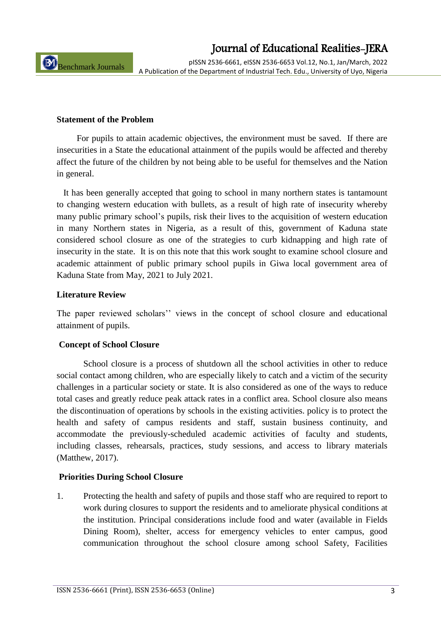pISSN 2536-6661, eISSN 2536-6653 Vol.12, No.1, Jan/March, 2022 A Publication of the Department of Industrial Tech. Edu., University of Uyo, Nigeria

#### **Statement of the Problem**

 For pupils to attain academic objectives, the environment must be saved. If there are insecurities in a State the educational attainment of the pupils would be affected and thereby affect the future of the children by not being able to be useful for themselves and the Nation in general.

 It has been generally accepted that going to school in many northern states is tantamount to changing western education with bullets, as a result of high rate of insecurity whereby many public primary school's pupils, risk their lives to the acquisition of western education in many Northern states in Nigeria, as a result of this, government of Kaduna state considered school closure as one of the strategies to curb kidnapping and high rate of insecurity in the state. It is on this note that this work sought to examine school closure and academic attainment of public primary school pupils in Giwa local government area of Kaduna State from May, 2021 to July 2021.

#### **Literature Review**

The paper reviewed scholars'' views in the concept of school closure and educational attainment of pupils.

#### **Concept of School Closure**

School closure is a process of shutdown all the school activities in other to reduce social contact among children, who are especially likely to catch and a victim of the security challenges in a particular society or state. It is also considered as one of the ways to reduce total cases and greatly reduce peak attack rates in a conflict area. School closure also means the discontinuation of operations by schools in the existing activities. policy is to protect the health and safety of campus residents and staff, sustain business continuity, and accommodate the previously-scheduled academic activities of faculty and students, including classes, rehearsals, practices, study sessions, and access to library materials (Matthew, 2017).

#### **Priorities During School Closure**

1. Protecting the health and safety of pupils and those staff who are required to report to work during closures to support the residents and to ameliorate physical conditions at the institution. Principal considerations include food and water (available in Fields Dining Room), shelter, access for emergency vehicles to enter campus, good communication throughout the school closure among school Safety, Facilities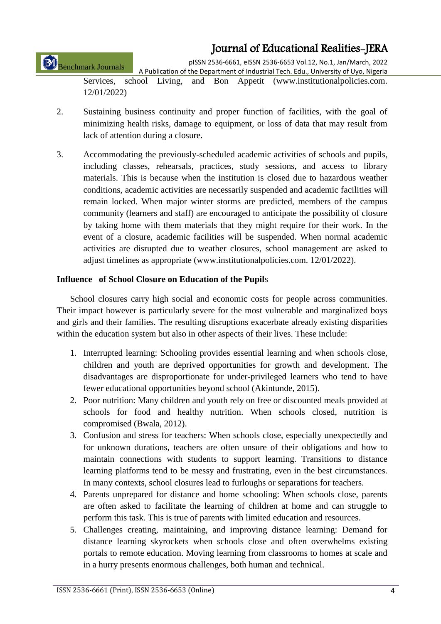pISSN 2536-6661, eISSN 2536-6653 Vol.12, No.1, Jan/March, 2022

A Publication of the Department of Industrial Tech. Edu., University of Uyo, Nigeria Benchmark Journals Services, school Living, and Bon Appetit (www.institutionalpolicies.com. 12/01/2022)

- 2. Sustaining business continuity and proper function of facilities, with the goal of minimizing health risks, damage to equipment, or loss of data that may result from lack of attention during a closure.
- 3. Accommodating the previously-scheduled academic activities of schools and pupils, including classes, rehearsals, practices, study sessions, and access to library materials. This is because when the institution is closed due to hazardous weather conditions, academic activities are necessarily suspended and academic facilities will remain locked. When major winter storms are predicted, members of the campus community (learners and staff) are encouraged to anticipate the possibility of closure by taking home with them materials that they might require for their work. In the event of a closure, academic facilities will be suspended. When normal academic activities are disrupted due to weather closures, school management are asked to adjust timelines as appropriate (www.institutionalpolicies.com. 12/01/2022).

### **Influence of School Closure on Education of the Pupil**s

School closures carry high social and economic costs for people across communities. Their impact however is particularly severe for the most vulnerable and marginalized boys and girls and their families. The resulting disruptions exacerbate already existing disparities within the education system but also in other aspects of their lives. These include:

- 1. Interrupted learning: Schooling provides essential learning and when schools close, children and youth are deprived opportunities for growth and development. The disadvantages are disproportionate for under-privileged learners who tend to have fewer educational opportunities beyond school (Akintunde, 2015).
- 2. Poor nutrition: Many children and youth rely on free or discounted meals provided at schools for food and healthy nutrition. When schools closed, nutrition is compromised (Bwala, 2012).
- 3. Confusion and stress for teachers: When schools close, especially unexpectedly and for unknown durations, teachers are often unsure of their obligations and how to maintain connections with students to support learning. Transitions to distance learning platforms tend to be messy and frustrating, even in the best circumstances. In many contexts, school closures lead to furloughs or separations for teachers.
- 4. Parents unprepared for distance and home schooling: When schools close, parents are often asked to facilitate the learning of children at home and can struggle to perform this task. This is true of parents with limited education and resources.
- 5. Challenges creating, maintaining, and improving distance learning: Demand for distance learning skyrockets when schools close and often overwhelms existing portals to remote education. Moving learning from classrooms to homes at scale and in a hurry presents enormous challenges, both human and technical.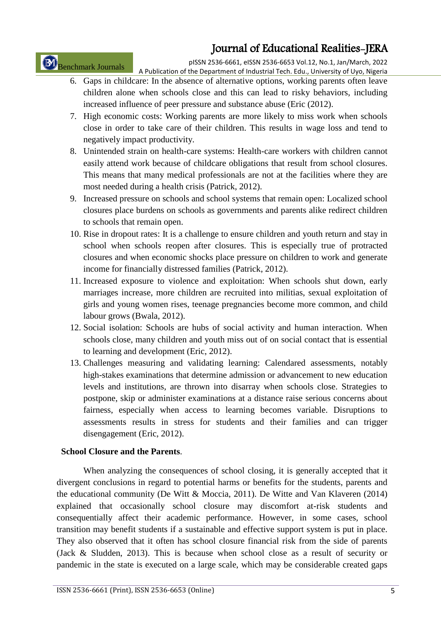Benchmark Journals

pISSN 2536-6661, eISSN 2536-6653 Vol.12, No.1, Jan/March, 2022 A Publication of the Department of Industrial Tech. Edu., University of Uyo, Nigeria

- 6. Gaps in childcare: In the absence of alternative options, working parents often leave children alone when schools close and this can lead to risky behaviors, including increased influence of peer pressure and substance abuse (Eric (2012).
- 7. High economic costs: Working parents are more likely to miss work when schools close in order to take care of their children. This results in wage loss and tend to negatively impact productivity.
- 8. Unintended strain on health-care systems: Health-care workers with children cannot easily attend work because of childcare obligations that result from school closures. This means that many medical professionals are not at the facilities where they are most needed during a health crisis (Patrick, 2012).
- 9. Increased pressure on schools and school systems that remain open: Localized school closures place burdens on schools as governments and parents alike redirect children to schools that remain open.
- 10. Rise in dropout rates: It is a challenge to ensure children and youth return and stay in school when schools reopen after closures. This is especially true of protracted closures and when economic shocks place pressure on children to work and generate income for financially distressed families (Patrick, 2012).
- 11. Increased exposure to violence and exploitation: When schools shut down, early marriages increase, more children are recruited into militias, sexual exploitation of girls and young women rises, teenage pregnancies become more common, and child labour grows (Bwala, 2012).
- 12. Social isolation: Schools are hubs of social activity and human interaction. When schools close, many children and youth miss out of on social contact that is essential to learning and development (Eric, 2012).
- 13. Challenges measuring and validating learning: Calendared assessments, notably high-stakes examinations that determine admission or advancement to new education levels and institutions, are thrown into disarray when schools close. Strategies to postpone, skip or administer examinations at a distance raise serious concerns about fairness, especially when access to learning becomes variable. Disruptions to assessments results in stress for students and their families and can trigger disengagement (Eric, 2012).

### **School Closure and the Parents**.

When analyzing the consequences of school closing, it is generally accepted that it divergent conclusions in regard to potential harms or benefits for the students, parents and the educational community (De Witt & Moccia, 2011). De Witte and Van Klaveren (2014) explained that occasionally school closure may discomfort at-risk students and consequentially affect their academic performance. However, in some cases, school transition may benefit students if a sustainable and effective support system is put in place. They also observed that it often has school closure financial risk from the side of parents (Jack & Sludden, 2013). This is because when school close as a result of security or pandemic in the state is executed on a large scale, which may be considerable created gaps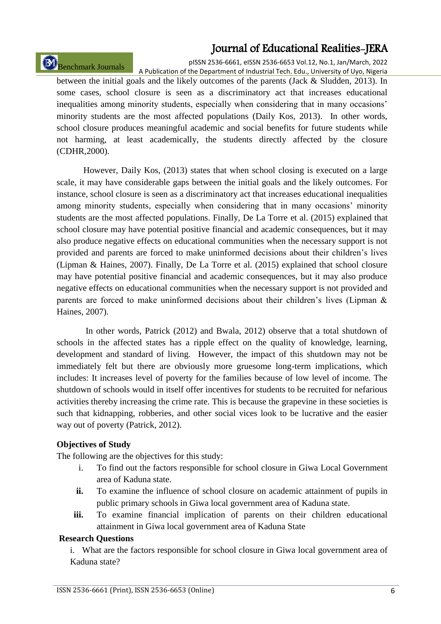# Benchmark Journals

pISSN 2536-6661, eISSN 2536-6653 Vol.12, No.1, Jan/March, 2022 A Publication of the Department of Industrial Tech. Edu., University of Uyo, Nigeria

between the initial goals and the likely outcomes of the parents (Jack & Sludden, 2013). In some cases, school closure is seen as a discriminatory act that increases educational inequalities among minority students, especially when considering that in many occasions' minority students are the most affected populations (Daily Kos, 2013). In other words, school closure produces meaningful academic and social benefits for future students while not harming, at least academically, the students directly affected by the closure (CDHR,2000).

However, Daily Kos, (2013) states that when school closing is executed on a large scale, it may have considerable gaps between the initial goals and the likely outcomes. For instance, school closure is seen as a discriminatory act that increases educational inequalities among minority students, especially when considering that in many occasions' minority students are the most affected populations. Finally, De La Torre et al. (2015) explained that school closure may have potential positive financial and academic consequences, but it may also produce negative effects on educational communities when the necessary support is not provided and parents are forced to make uninformed decisions about their children's lives (Lipman & Haines, 2007). Finally, De La Torre et al. (2015) explained that school closure may have potential positive financial and academic consequences, but it may also produce negative effects on educational communities when the necessary support is not provided and parents are forced to make uninformed decisions about their children's lives (Lipman & Haines, 2007).

In other words, Patrick (2012) and Bwala, 2012) observe that a total shutdown of schools in the affected states has a ripple effect on the quality of knowledge, learning, development and standard of living. However, the impact of this shutdown may not be immediately felt but there are obviously more gruesome long-term implications, which includes: It increases level of poverty for the families because of low level of income. The shutdown of schools would in itself offer incentives for students to be recruited for nefarious activities thereby increasing the crime rate. This is because the grapevine in these societies is such that kidnapping, robberies, and other social vices look to be lucrative and the easier way out of poverty (Patrick, 2012).

### **Objectives of Study**

The following are the objectives for this study:

- i. To find out the factors responsible for school closure in Giwa Local Government area of Kaduna state.
- **ii.** To examine the influence of school closure on academic attainment of pupils in public primary schools in Giwa local government area of Kaduna state.
- **iii.** To examine financial implication of parents on their children educational attainment in Giwa local government area of Kaduna State

### **Research Questions**

i. What are the factors responsible for school closure in Giwa local government area of Kaduna state?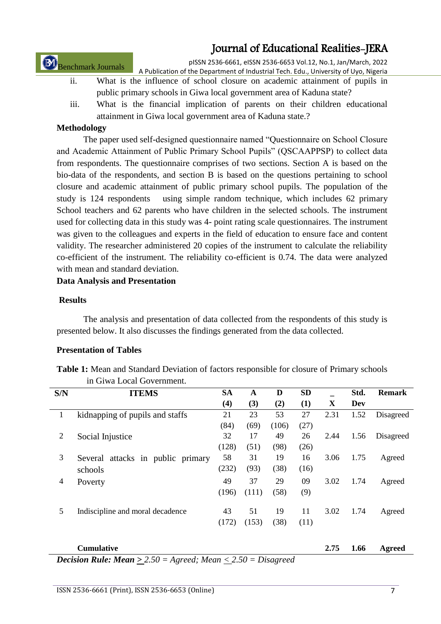Benchmark Journals

pISSN 2536-6661, eISSN 2536-6653 Vol.12, No.1, Jan/March, 2022 A Publication of the Department of Industrial Tech. Edu., University of Uyo, Nigeria

- ii. What is the influence of school closure on academic attainment of pupils in public primary schools in Giwa local government area of Kaduna state?
- iii. What is the financial implication of parents on their children educational attainment in Giwa local government area of Kaduna state.?

### **Methodology**

The paper used self-designed questionnaire named "Questionnaire on School Closure and Academic Attainment of Public Primary School Pupils" (QSCAAPPSP) to collect data from respondents. The questionnaire comprises of two sections. Section A is based on the bio-data of the respondents, and section B is based on the questions pertaining to school closure and academic attainment of public primary school pupils. The population of the study is 124 respondents using simple random technique, which includes 62 primary School teachers and 62 parents who have children in the selected schools. The instrument used for collecting data in this study was 4- point rating scale questionnaires. The instrument was given to the colleagues and experts in the field of education to ensure face and content validity. The researcher administered 20 copies of the instrument to calculate the reliability co-efficient of the instrument. The reliability co-efficient is 0.74. The data were analyzed with mean and standard deviation.

### **Data Analysis and Presentation**

### **Results**

The analysis and presentation of data collected from the respondents of this study is presented below. It also discusses the findings generated from the data collected.

### **Presentation of Tables**

**Table 1:** Mean and Standard Deviation of factors responsible for closure of Primary schools in Giwa Local Government.

| S/N            | <b>ITEMS</b>                         | <b>SA</b> | $\mathbf{A}$ | D     | <b>SD</b> |             | Std. | <b>Remark</b> |
|----------------|--------------------------------------|-----------|--------------|-------|-----------|-------------|------|---------------|
|                |                                      | (4)       | (3)          | (2)   | (1)       | $\mathbf X$ | Dev  |               |
| 1              | kidnapping of pupils and staffs      | 21        | 23           | 53    | 27        | 2.31        | 1.52 | Disagreed     |
|                |                                      | (84)      | (69)         | (106) | (27)      |             |      |               |
| $\overline{2}$ | Social Injustice                     | 32        | 17           | 49    | 26        | 2.44        | 1.56 | Disagreed     |
|                |                                      | (128)     | (51)         | (98)  | (26)      |             |      |               |
| 3              | attacks in public primary<br>Several | 58        | 31           | 19    | 16        | 3.06        | 1.75 | Agreed        |
|                | schools                              | (232)     | (93)         | (38)  | (16)      |             |      |               |
| 4              | Poverty                              | 49        | 37           | 29    | 09        | 3.02        | 1.74 | Agreed        |
|                |                                      | (196)     | (111)        | (58)  | (9)       |             |      |               |
| 5              | Indiscipline and moral decadence     | 43        | 51           | 19    | 11        | 3.02        | 1.74 | Agreed        |
|                |                                      | (172)     | (153)        | (38)  | (11)      |             |      |               |
|                | <b>Cumulative</b>                    |           |              |       |           | 2.75        | 1.66 | Agreed        |

*Decision Rule: Mean*  $\geq$  2.50 = Agreed; Mean < 2.50 = Disagreed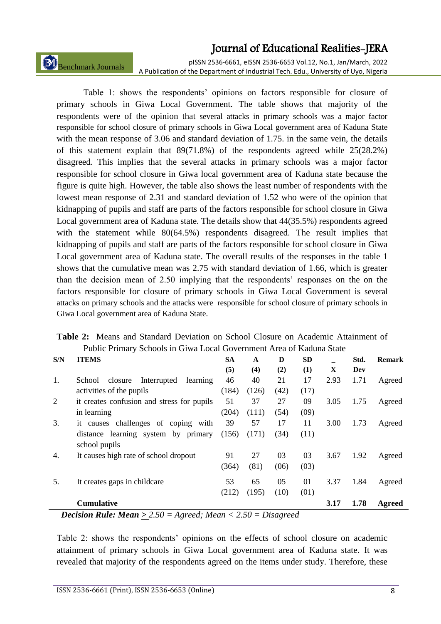Benchmark Journals

pISSN 2536-6661, eISSN 2536-6653 Vol.12, No.1, Jan/March, 2022 A Publication of the Department of Industrial Tech. Edu., University of Uyo, Nigeria

Table 1: shows the respondents' opinions on factors responsible for closure of primary schools in Giwa Local Government. The table shows that majority of the respondents were of the opinion that several attacks in primary schools was a major factor responsible for school closure of primary schools in Giwa Local government area of Kaduna State with the mean response of 3.06 and standard deviation of 1.75. in the same vein, the details of this statement explain that 89(71.8%) of the respondents agreed while 25(28.2%) disagreed. This implies that the several attacks in primary schools was a major factor responsible for school closure in Giwa local government area of Kaduna state because the figure is quite high. However, the table also shows the least number of respondents with the lowest mean response of 2.31 and standard deviation of 1.52 who were of the opinion that kidnapping of pupils and staff are parts of the factors responsible for school closure in Giwa Local government area of Kaduna state. The details show that 44(35.5%) respondents agreed with the statement while  $80(64.5%)$  respondents disagreed. The result implies that kidnapping of pupils and staff are parts of the factors responsible for school closure in Giwa Local government area of Kaduna state. The overall results of the responses in the table 1 shows that the cumulative mean was 2.75 with standard deviation of 1.66, which is greater than the decision mean of 2.50 implying that the respondents' responses on the on the factors responsible for closure of primary schools in Giwa Local Government is several attacks on primary schools and the attacks were responsible for school closure of primary schools in Giwa Local government area of Kaduna State.

| S/N | <b>ITEMS</b>                                 | <b>SA</b> | A     | D    | <b>SD</b> |      | Std. | <b>Remark</b> |
|-----|----------------------------------------------|-----------|-------|------|-----------|------|------|---------------|
|     |                                              | (5)       | (4)   | (2)  | (1)       | X    | Dev  |               |
| 1.  | learning<br>Interrupted<br>School<br>closure | 46        | 40    | 21   | 17        | 2.93 | 1.71 | Agreed        |
|     | activities of the pupils                     | (184)     | (126) | (42) | (17)      |      |      |               |
| 2   | it creates confusion and stress for pupils   | 51        | 37    | 27   | 09        | 3.05 | 1.75 | Agreed        |
|     | in learning                                  | (204)     | (111) | (54) | (09)      |      |      |               |
| 3.  | it causes challenges of coping with          | 39        | 57    | 17   | 11        | 3.00 | 1.73 | Agreed        |
|     | distance learning system by primary          | (156)     | (171) | (34) | (11)      |      |      |               |
|     | school pupils                                |           |       |      |           |      |      |               |
| 4.  | It causes high rate of school dropout        | 91        | 27    | 03   | 03        | 3.67 | 1.92 | Agreed        |
|     |                                              | (364)     | (81)  | (06) | (03)      |      |      |               |
| 5.  | It creates gaps in childcare                 | 53        | 65    | 05   | 01        | 3.37 | 1.84 | Agreed        |
|     |                                              | (212)     | (195) | (10) | (01)      |      |      |               |
|     | <b>Cumulative</b>                            |           |       |      |           | 3.17 | 1.78 | <b>Agreed</b> |

**Table 2:** Means and Standard Deviation on School Closure on Academic Attainment of Public Primary Schools in Giwa Local Government Area of Kaduna State

*Decision Rule: Mean > 2.50 = Agreed; Mean < 2.50 = Disagreed*

Table 2: shows the respondents' opinions on the effects of school closure on academic attainment of primary schools in Giwa Local government area of Kaduna state. It was revealed that majority of the respondents agreed on the items under study. Therefore, these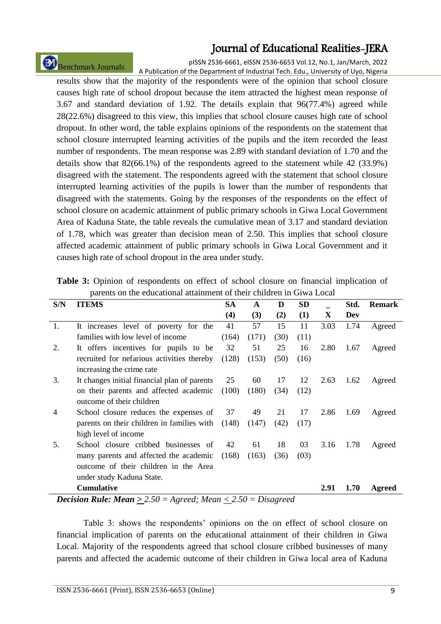# Benchmark Journals

pISSN 2536-6661, eISSN 2536-6653 Vol.12, No.1, Jan/March, 2022 A Publication of the Department of Industrial Tech. Edu., University of Uyo, Nigeria

results show that the majority of the respondents were of the opinion that school closure causes high rate of school dropout because the item attracted the highest mean response of 3.67 and standard deviation of 1.92. The details explain that 96(77.4%) agreed while 28(22.6%) disagreed to this view, this implies that school closure causes high rate of school dropout. In other word, the table explains opinions of the respondents on the statement that school closure interrupted learning activities of the pupils and the item recorded the least number of respondents. The mean response was 2.89 with standard deviation of 1.70 and the details show that 82(66.1%) of the respondents agreed to the statement while 42 (33.9%) disagreed with the statement. The respondents agreed with the statement that school closure interrupted learning activities of the pupils is lower than the number of respondents that disagreed with the statements. Going by the responses of the respondents on the effect of school closure on academic attainment of public primary schools in Giwa Local Government Area of Kaduna State, the table reveals the cumulative mean of 3.17 and standard deviation of 1.78, which was greater than decision mean of 2.50. This implies that school closure affected academic attainment of public primary schools in Giwa Local Government and it causes high rate of school dropout in the area under study.

| S/N | <b>ITEMS</b>                                                                                   | <b>SA</b>            | A              | D    | <b>SD</b>    |             | Std.        | <b>Remark</b> |
|-----|------------------------------------------------------------------------------------------------|----------------------|----------------|------|--------------|-------------|-------------|---------------|
|     |                                                                                                | (4)                  | (3)            | (2)  | (1)          | $\mathbf X$ | Dev         |               |
| 1.  | It increases level of poverty for the                                                          | 41                   | 57             | 15   | 11           | 3.03        | 1.74        | Agreed        |
|     | families with low level of income                                                              | (164)                | (171)          | (30) | (11)         |             |             |               |
| 2.  | It offers incentives for pupils to be                                                          | 32                   | 51             | 25   | 16           | 2.80        | 1.67        | Agreed        |
|     | recruited for nefarious activities thereby                                                     | (128)                | (153)          | (50) | (16)         |             |             |               |
|     | increasing the crime rate                                                                      |                      |                |      |              |             |             |               |
| 3.  | It changes initial financial plan of parents                                                   | 25                   | 60             | 17   | 12           | 2.63        | 1.62        | Agreed        |
|     | on their parents and affected academic                                                         | (100)                | (180)          | (34) | (12)         |             |             |               |
|     | outcome of their children                                                                      |                      |                |      |              |             |             |               |
| 4   | School closure reduces the expenses of                                                         | 37                   | 49             | 21   | 17           | 2.86        | 1.69        | Agreed        |
|     | parents on their children in families with                                                     | (148)                | (147)          | (42) | (17)         |             |             |               |
|     | high level of income                                                                           |                      |                |      |              |             |             |               |
| 5.  | School closure cribbed businesses of                                                           | 42                   | 61             | 18   | 03           | 3.16        | 1.78        | Agreed        |
|     | many parents and affected the academic                                                         | (168)                | (163)          | (36) | (03)         |             |             |               |
|     | outcome of their children in the Area                                                          |                      |                |      |              |             |             |               |
|     | under study Kaduna State.                                                                      |                      |                |      |              |             |             |               |
|     | <b>Cumulative</b>                                                                              |                      |                |      |              | 2.91        | <b>1.70</b> | Agreed        |
|     | $\mathbf{r}$<br>$\mathbf{r}$<br>$\sim$ $\sim$ $\sim$<br>$\mathbf{1}$ $\mathbf{1}$ $\mathbf{r}$ | $\sim$ $\sim$ $\sim$ | $\mathbf{r}$ . |      | $\mathbf{r}$ |             |             |               |

**Table 3:** Opinion of respondents on effect of school closure on financial implication of parents on the educational attainment of their children in Giwa Local

*Decision Rule: Mean > 2.50 = Agreed; Mean < 2.50 = Disagreed*

Table 3: shows the respondents' opinions on the on effect of school closure on financial implication of parents on the educational attainment of their children in Giwa Local. Majority of the respondents agreed that school closure cribbed businesses of many parents and affected the academic outcome of their children in Giwa local area of Kaduna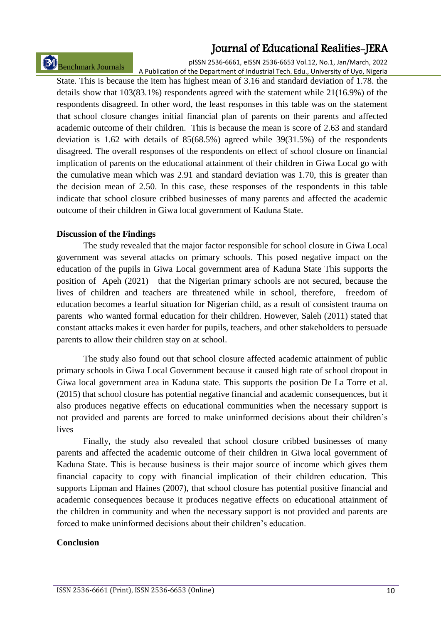# Benchmark Journals

pISSN 2536-6661, eISSN 2536-6653 Vol.12, No.1, Jan/March, 2022 A Publication of the Department of Industrial Tech. Edu., University of Uyo, Nigeria

State. This is because the item has highest mean of 3.16 and standard deviation of 1.78. the details show that 103(83.1%) respondents agreed with the statement while 21(16.9%) of the respondents disagreed. In other word, the least responses in this table was on the statement tha**t** school closure changes initial financial plan of parents on their parents and affected academic outcome of their children. This is because the mean is score of 2.63 and standard deviation is 1.62 with details of 85(68.5%) agreed while 39(31.5%) of the respondents disagreed. The overall responses of the respondents on effect of school closure on financial implication of parents on the educational attainment of their children in Giwa Local go with the cumulative mean which was 2.91 and standard deviation was 1.70, this is greater than the decision mean of 2.50. In this case, these responses of the respondents in this table indicate that school closure cribbed businesses of many parents and affected the academic outcome of their children in Giwa local government of Kaduna State.

### **Discussion of the Findings**

The study revealed that the major factor responsible for school closure in Giwa Local government was several attacks on primary schools. This posed negative impact on the education of the pupils in Giwa Local government area of Kaduna State This supports the position of Apeh (2021) that the Nigerian primary schools are not secured, because the lives of children and teachers are threatened while in school, therefore, freedom of education becomes a fearful situation for Nigerian child, as a result of consistent trauma on parents who wanted formal education for their children. However, Saleh (2011) stated that constant attacks makes it even harder for pupils, teachers, and other stakeholders to persuade parents to allow their children stay on at school.

The study also found out that school closure affected academic attainment of public primary schools in Giwa Local Government because it caused high rate of school dropout in Giwa local government area in Kaduna state. This supports the position De La Torre et al. (2015) that school closure has potential negative financial and academic consequences, but it also produces negative effects on educational communities when the necessary support is not provided and parents are forced to make uninformed decisions about their children's lives

Finally, the study also revealed that school closure cribbed businesses of many parents and affected the academic outcome of their children in Giwa local government of Kaduna State. This is because business is their major source of income which gives them financial capacity to copy with financial implication of their children education. This supports Lipman and Haines (2007), that school closure has potential positive financial and academic consequences because it produces negative effects on educational attainment of the children in community and when the necessary support is not provided and parents are forced to make uninformed decisions about their children's education.

### **Conclusion**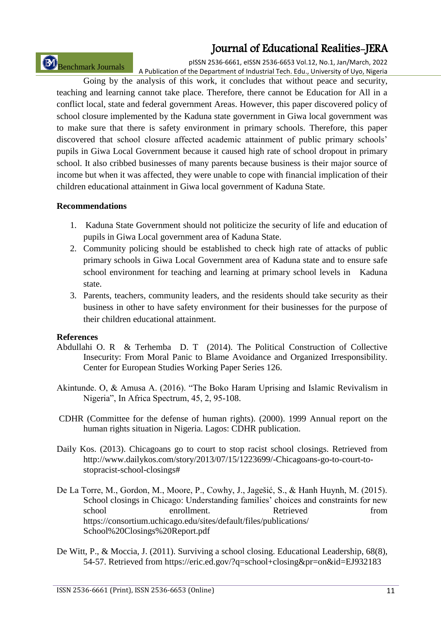Benchmark Journals

pISSN 2536-6661, eISSN 2536-6653 Vol.12, No.1, Jan/March, 2022 A Publication of the Department of Industrial Tech. Edu., University of Uyo, Nigeria

Going by the analysis of this work, it concludes that without peace and security, teaching and learning cannot take place. Therefore, there cannot be Education for All in a conflict local, state and federal government Areas. However, this paper discovered policy of school closure implemented by the Kaduna state government in Giwa local government was to make sure that there is safety environment in primary schools. Therefore, this paper discovered that school closure affected academic attainment of public primary schools' pupils in Giwa Local Government because it caused high rate of school dropout in primary school. It also cribbed businesses of many parents because business is their major source of income but when it was affected, they were unable to cope with financial implication of their children educational attainment in Giwa local government of Kaduna State.

### **Recommendations**

- 1. Kaduna State Government should not politicize the security of life and education of pupils in Giwa Local government area of Kaduna State.
- 2. Community policing should be established to check high rate of attacks of public primary schools in Giwa Local Government area of Kaduna state and to ensure safe school environment for teaching and learning at primary school levels in Kaduna state.
- 3. Parents, teachers, community leaders, and the residents should take security as their business in other to have safety environment for their businesses for the purpose of their children educational attainment.

### **References**

- Abdullahi O. R & Terhemba D. T (2014). The Political Construction of Collective Insecurity: From Moral Panic to Blame Avoidance and Organized Irresponsibility. Center for European Studies Working Paper Series 126.
- Akintunde. O, & Amusa A. (2016). "The Boko Haram Uprising and Islamic Revivalism in Nigeria", In Africa Spectrum, 45, 2, 95-108.
- CDHR (Committee for the defense of human rights). (2000). 1999 Annual report on the human rights situation in Nigeria. Lagos: CDHR publication.
- Daily Kos. (2013). Chicagoans go to court to stop racist school closings. Retrieved from http://www.dailykos.com/story/2013/07/15/1223699/-Chicagoans-go-to-court-tostopracist-school-closings#
- De La Torre, M., Gordon, M., Moore, P., Cowhy, J., Jagešić, S., & Hanh Huynh, M. (2015). School closings in Chicago: Understanding families' choices and constraints for new school enrollment. Retrieved from https://consortium.uchicago.edu/sites/default/files/publications/ School%20Closings%20Report.pdf
- De Witt, P., & Moccia, J. (2011). Surviving a school closing. Educational Leadership, 68(8), 54-57. Retrieved from https://eric.ed.gov/?q=school+closing&pr=on&id=EJ932183